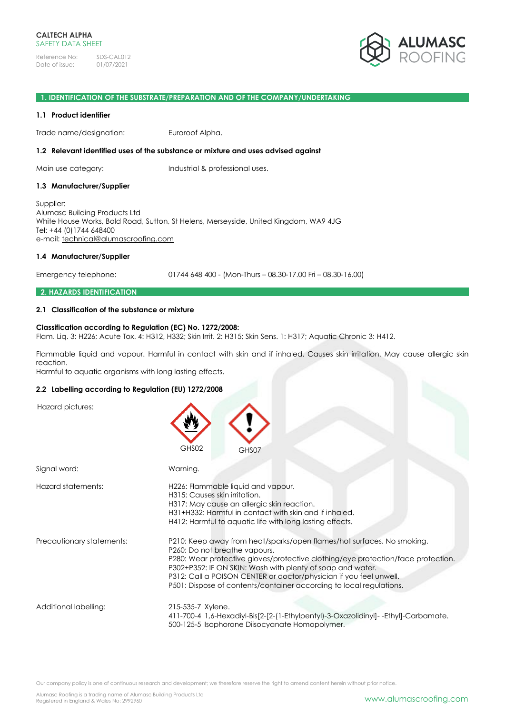

### **1. IDENTIFICATION OF THE SUBSTRATE/PREPARATION AND OF THE COMPANY/UNDERTAKING**

### **1.1 Product identifier**

Trade name/designation: Euroroof Alpha.

### **1.2 Relevant identified uses of the substance or mixture and uses advised against**

Main use category: Industrial & professional uses.

### **1.3 Manufacturer/Supplier**

Supplier: Alumasc Building Products Ltd White House Works, Bold Road, Sutton, St Helens, Merseyside, United Kingdom, WA9 4JG Tel: +44 (0)1744 648400 e-mail: [technical@alumascroofing.com](mailto:technical@alumascroofing.com)

### **1.4 Manufacturer/Supplier**

Emergency telephone: 01744 648 400 - (Mon-Thurs – 08.30-17.00 Fri – 08.30-16.00)

### **2. HAZARDS IDENTIFICATION**

## **2.1 Classification of the substance or mixture**

## **Classification according to Regulation (EC) No. 1272/2008:**

Flam. Liq. 3: H226; Acute Tox. 4: H312, H332; Skin Irrit. 2: H315; Skin Sens. 1: H317; Aquatic Chronic 3: H412.

Flammable liquid and vapour. Harmful in contact with skin and if inhaled. Causes skin irritation. May cause allergic skin reaction.

Harmful to aquatic organisms with long lasting effects.

### **2.2 Labelling according to Regulation (EU) 1272/2008**

Hazard pictures:

|                           | GHS02<br>GHS07                                                                                                                                                                                                                                                                                                                                                                                         |  |
|---------------------------|--------------------------------------------------------------------------------------------------------------------------------------------------------------------------------------------------------------------------------------------------------------------------------------------------------------------------------------------------------------------------------------------------------|--|
| Signal word:              | Warning.                                                                                                                                                                                                                                                                                                                                                                                               |  |
| Hazard statements:        | H226: Flammable liquid and vapour.<br>H315: Causes skin irritation.<br>H317: May cause an allergic skin reaction.<br>H31+H332: Harmful in contact with skin and if inhaled.<br>H412: Harmful to aquatic life with long lasting effects.                                                                                                                                                                |  |
| Precautionary statements: | P210: Keep away from heat/sparks/open flames/hot surfaces. No smoking.<br>P260: Do not breathe vapours.<br>P280: Wear protective gloves/protective clothing/eye protection/face protection.<br>P302+P352: IF ON SKIN: Wash with plenty of soap and water.<br>P312: Call a POISON CENTER or doctor/physician if you feel unwell.<br>P501: Dispose of contents/container according to local regulations. |  |
| Additional labelling:     | 215-535-7 Xylene.<br>411-700-4 1,6-Hexadiyl-Bis[2-[2-(1-Ethylpentyl)-3-Oxazolidinyl]--Ethyl]-Carbamate.<br>500-125-5 Isophorone Diisocyanate Homopolymer.                                                                                                                                                                                                                                              |  |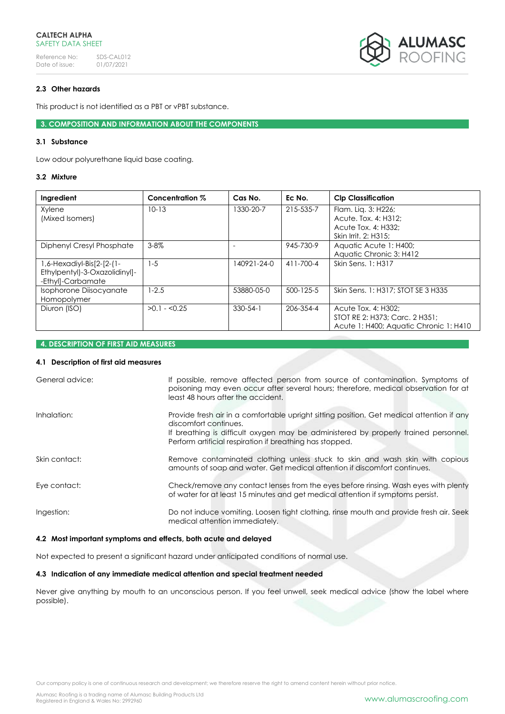

# **2.3 Other hazards**

This product is not identified as a PBT or vPBT substance.

**3. COMPOSITION AND INFORMATION ABOUT THE COMPONENTS**

## **3.1 Substance**

Low odour polyurethane liquid base coating.

# **3.2 Mixture**

| Ingredient                                                                         | Concentration % | Cas No.        | Ec No.    | <b>Clp Classification</b>                                                                       |
|------------------------------------------------------------------------------------|-----------------|----------------|-----------|-------------------------------------------------------------------------------------------------|
| Xylene<br>(Mixed Isomers)                                                          | $10 - 13$       | 1330-20-7      | 215-535-7 | Flam. Lig. 3: H226;<br>Acute. Tox. 4: H312:                                                     |
|                                                                                    |                 |                |           | Acute Tox. 4: H332:                                                                             |
|                                                                                    |                 |                |           | Skin Irrit. 2: H315;                                                                            |
| Diphenyl Cresyl Phosphate                                                          | $3 - 8\%$       |                | 945-730-9 | Aquatic Acute 1: H400;                                                                          |
|                                                                                    |                 |                |           | Aquatic Chronic 3: H412                                                                         |
| $1,6$ -Hexadiyl-Bis[2-[2-(1-<br>Ethylpentyl)-3-Oxazolidinyl]-<br>-Ethyl]-Carbamate | $1 - 5$         | 140921-24-0    | 411-700-4 | Skin Sens. 1: H317                                                                              |
| Isophorone Diisocyanate<br>Homopolymer                                             | $1 - 2.5$       | 53880-05-0     | 500-125-5 | Skin Sens. 1: H317: STOT SE 3 H335                                                              |
| Diuron (ISO)                                                                       | $>0.1 - 0.25$   | $330 - 54 - 1$ | 206-354-4 | Acute Tox. 4: H302:<br>STOT RE 2: H373: Carc. 2 H351:<br>Acute 1: H400; Aquatic Chronic 1: H410 |

## **4. DESCRIPTION OF FIRST AID MEASURES**

# **4.1 Description of first aid measures**

| General advice: | If possible, remove affected person from source of contamination. Symptoms of<br>poisoning may even occur after several hours; therefore, medical observation for at<br>least 48 hours after the accident.                                                            |
|-----------------|-----------------------------------------------------------------------------------------------------------------------------------------------------------------------------------------------------------------------------------------------------------------------|
| Inhalation:     | Provide fresh air in a comfortable upright sitting position. Get medical attention if any<br>discomfort continues.<br>If breathing is difficult oxygen may be administered by properly trained personnel.<br>Perform artificial respiration if breathing has stopped. |
| Skin contact:   | Remove contaminated clothing unless stuck to skin and wash skin with copious<br>amounts of soap and water. Get medical attention if discomfort continues.                                                                                                             |
| Eye contact:    | Check/remove any contact lenses from the eyes before rinsing. Wash eyes with plenty<br>of water for at least 15 minutes and get medical attention if symptoms persist.                                                                                                |
| Ingestion:      | Do not induce vomiting. Loosen tight clothing, rinse mouth and provide fresh air. Seek<br>medical attention immediately.                                                                                                                                              |

## **4.2 Most important symptoms and effects, both acute and delayed**

Not expected to present a significant hazard under anticipated conditions of normal use.

# **4.3 Indication of any immediate medical attention and special treatment needed**

Never give anything by mouth to an unconscious person. If you feel unwell, seek medical advice (show the label where possible).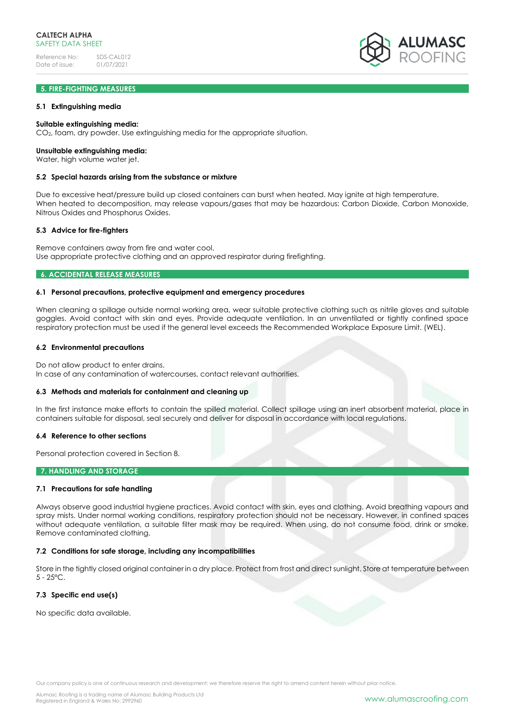# **5. FIRE-FIGHTING MEASURES**

## **5.1 Extinguishing media**

### **Suitable extinguishing media:**

CO2, foam, dry powder. Use extinguishing media for the appropriate situation.

#### **Unsuitable extinguishing media:**

Water, high volume water jet.

### **5.2 Special hazards arising from the substance or mixture**

Due to excessive heat/pressure build up closed containers can burst when heated. May ignite at high temperature. When heated to decomposition, may release vapours/gases that may be hazardous: Carbon Dioxide, Carbon Monoxide, Nitrous Oxides and Phosphorus Oxides.

### **5.3 Advice for fire-fighters**

Remove containers away from fire and water cool. Use appropriate protective clothing and an approved respirator during firefighting.

## **6. ACCIDENTAL RELEASE MEASURES**

### **6.1 Personal precautions, protective equipment and emergency procedures**

When cleaning a spillage outside normal working area, wear suitable protective clothing such as nitrile gloves and suitable goggles. Avoid contact with skin and eyes. Provide adequate ventilation. In an unventilated or tightly confined space respiratory protection must be used if the general level exceeds the Recommended Workplace Exposure Limit. (WEL).

### **6.2 Environmental precautions**

Do not allow product to enter drains.

In case of any contamination of watercourses, contact relevant authorities.

#### **6.3 Methods and materials for containment and cleaning up**

In the first instance make efforts to contain the spilled material. Collect spillage using an inert absorbent material, place in containers suitable for disposal, seal securely and deliver for disposal in accordance with local regulations.

### **6.4 Reference to other sections**

Personal protection covered in Section 8.

## **7. HANDLING AND STORAGE**

## **7.1 Precautions for safe handling**

Always observe good industrial hygiene practices. Avoid contact with skin, eyes and clothing. Avoid breathing vapours and spray mists. Under normal working conditions, respiratory protection should not be necessary. However, in confined spaces without adequate ventilation, a suitable filter mask may be required. When using, do not consume food, drink or smoke. Remove contaminated clothing.

## **7.2 Conditions for safe storage, including any incompatibilities**

Store in the tightly closed original container in a dry place. Protect from frost and direct sunlight. Store at temperature between  $5 - 25$ °C.

## **7.3 Specific end use(s)**

No specific data available.

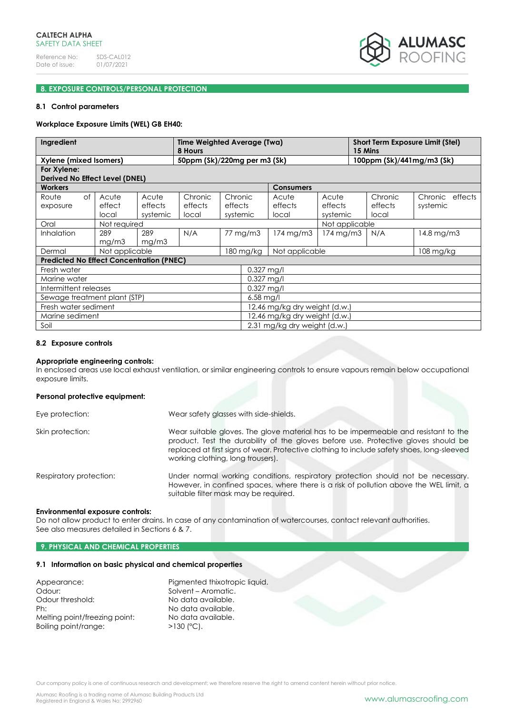

# **8. EXPOSURE CONTROLS/PERSONAL PROTECTION**

### **8.1 Control parameters**

### **Workplace Exposure Limits (WEL) GB EH40:**

| Ingredient                                             |                          |                              | Time Weighted Average (Twa)<br>8 Hours |                                |                             |                           |                              | <b>Short Term Exposure Limit (Stel)</b><br>15 Mins |                             |                             |
|--------------------------------------------------------|--------------------------|------------------------------|----------------------------------------|--------------------------------|-----------------------------|---------------------------|------------------------------|----------------------------------------------------|-----------------------------|-----------------------------|
| Xylene (mixed Isomers)<br>50ppm (Sk)/220mg per m3 (Sk) |                          |                              |                                        |                                |                             |                           |                              |                                                    | 100ppm (Sk)/441mg/m3 (Sk)   |                             |
| For Xylene:<br>Derived No Effect Level (DNEL)          |                          |                              |                                        |                                |                             |                           |                              |                                                    |                             |                             |
| <b>Workers</b>                                         |                          |                              |                                        |                                |                             | <b>Consumers</b>          |                              |                                                    |                             |                             |
| of<br>Route<br>exposure                                | Acute<br>effect<br>local | Acute<br>effects<br>systemic | Chronic<br>effects<br>local            | Chronic<br>effects<br>systemic |                             | Acute<br>effects<br>local | Acute<br>effects<br>systemic |                                                    | Chronic<br>effects<br>local | Chronic effects<br>systemic |
| Oral                                                   | Not required             |                              |                                        |                                |                             |                           | Not applicable               |                                                    |                             |                             |
| Inhalation                                             | 289<br>mg/m3             | 289<br>mg/m3                 | N/A                                    |                                | 77 mg/m3                    | $174 \,\mathrm{mg/m3}$    | 174 mg/m3                    |                                                    | N/A                         | 14.8 mg/m3                  |
| Dermal                                                 | Not applicable           |                              |                                        |                                | Not applicable<br>180 mg/kg |                           |                              | 108 mg/kg                                          |                             |                             |
| <b>Predicted No Effect Concentration (PNEC)</b>        |                          |                              |                                        |                                |                             |                           |                              |                                                    |                             |                             |
| Fresh water                                            |                          |                              |                                        |                                | 0.327 mg/l                  |                           |                              |                                                    |                             |                             |
| Marine water                                           |                          |                              |                                        |                                | $0.327$ mg/l                |                           |                              |                                                    |                             |                             |
| Intermittent releases                                  |                          |                              |                                        | 0.327 mg/l                     |                             |                           |                              |                                                    |                             |                             |
| Sewage treatment plant (STP)                           |                          |                              |                                        | $6.58$ mg/l                    |                             |                           |                              |                                                    |                             |                             |
| Fresh water sediment                                   |                          |                              |                                        | 12.46 mg/kg dry weight (d.w.)  |                             |                           |                              |                                                    |                             |                             |
| Marine sediment                                        |                          |                              |                                        | 12.46 mg/kg dry weight (d.w.)  |                             |                           |                              |                                                    |                             |                             |
| Soil                                                   |                          |                              |                                        | 2.31 mg/kg dry weight (d.w.)   |                             |                           |                              |                                                    |                             |                             |

#### **8.2 Exposure controls**

#### **Appropriate engineering controls:**

In enclosed areas use local exhaust ventilation, or similar engineering controls to ensure vapours remain below occupational exposure limits.

### **Personal protective equipment:**

| Eye protection:         | Wear safety glasses with side-shields.                                                                                                                                                                                                                                                                       |
|-------------------------|--------------------------------------------------------------------------------------------------------------------------------------------------------------------------------------------------------------------------------------------------------------------------------------------------------------|
| Skin protection:        | Wear suitable gloves. The glove material has to be impermeable and resistant to the<br>product. Test the durability of the gloves before use. Protective gloves should be<br>replaced at first signs of wear. Protective clothing to include safety shoes, long-sleeved<br>working clothing, long trousers). |
| Respiratory protection: | Under normal working conditions, respiratory protection should not be necessary.<br>However, in confined spaces, where there is a risk of pollution above the WEL limit, a<br>suitable filter mask may be required.                                                                                          |

#### **Environmental exposure controls:**

Do not allow product to enter drains. In case of any contamination of watercourses, contact relevant authorities. See also measures detailed in Sections 6 & 7.

### **9. PHYSICAL AND CHEMICAL PROPERTIES**

# **9.1 Information on basic physical and chemical properties**

| Appearance:                   | Pigmented thixotropic liquid. |
|-------------------------------|-------------------------------|
| Odour:                        | Solvent - Aromatic.           |
| Odour threshold:              | No data available.            |
| Ph:                           | No data available.            |
| Melting point/freezing point: | No data available.            |
| Boiling point/range:          | $>130$ (°C).                  |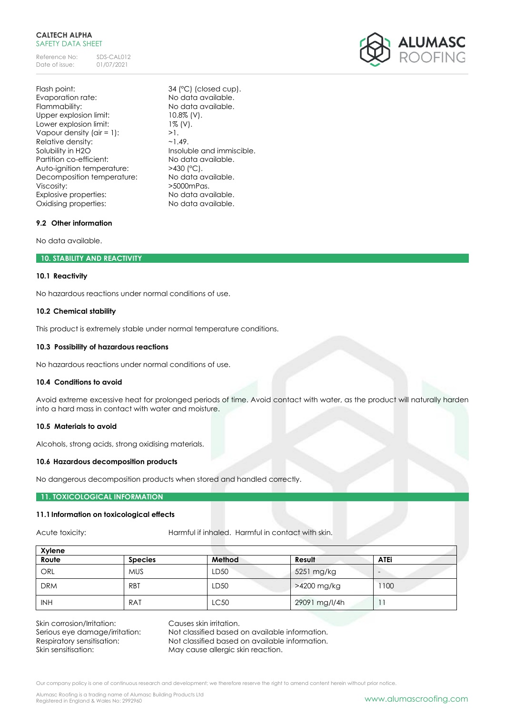## **CALTECH ALPHA** SAFETY DATA SHEFT

Reference No: SDS-CAL012<br>Date of issue: 01/07/2021 Date of issue:

Flash point: 34 (°C) (closed cup). Evaporation rate: No data available. Flammability: No data available. Upper explosion limit: 10.8% (V). Lower explosion limit: 1% (V). Vapour density (air = 1):  $>1$ .<br>Relative density:  $\sim$  1.49. Relative density: Solubility in H2O Insoluble and immiscible. Partition co-efficient: No data available. Auto-ignition temperature: >430 (°C). Decomposition temperature: No data available. Viscosity:  $>5000$ mPas. Explosive properties: No data available. Oxidising properties: No data available.

# **9.2 Other information**

No data available.

# **10. STABILITY AND REACTIVITY**

## **10.1 Reactivity**

No hazardous reactions under normal conditions of use.

# **10.2 Chemical stability**

This product is extremely stable under normal temperature conditions.

# **10.3 Possibility of hazardous reactions**

No hazardous reactions under normal conditions of use.

## **10.4 Conditions to avoid**

Avoid extreme excessive heat for prolonged periods of time. Avoid contact with water, as the product will naturally harden into a hard mass in contact with water and moisture.

# **10.5 Materials to avoid**

Alcohols, strong acids, strong oxidising materials.

## **10.6 Hazardous decomposition products**

No dangerous decomposition products when stored and handled correctly.

## **11. TOXICOLOGICAL INFORMATION**

# **11.1Information on toxicological effects**

Acute toxicity: **Harmful if inhaled.** Harmful in contact with skin.

| Xylene     |                |        |               |                          |
|------------|----------------|--------|---------------|--------------------------|
| Route      | <b>Species</b> | Method | Result        | <b>ATEi</b>              |
| ORL        | <b>MUS</b>     | LD50   | 5251 mg/kg    | $\overline{\phantom{0}}$ |
| <b>DRM</b> | <b>RBT</b>     | LD50   | >4200 mg/kg   | 100                      |
| <b>INH</b> | RAT            | LC50   | 29091 mg/l/4h |                          |

Skin corrosion/Irritation: Causes skin irritation.

Serious eye damage/irritation: Not classified based on available information. Respiratory sensitisation: Not classified based on available information. Skin sensitisation: May cause allergic skin reaction.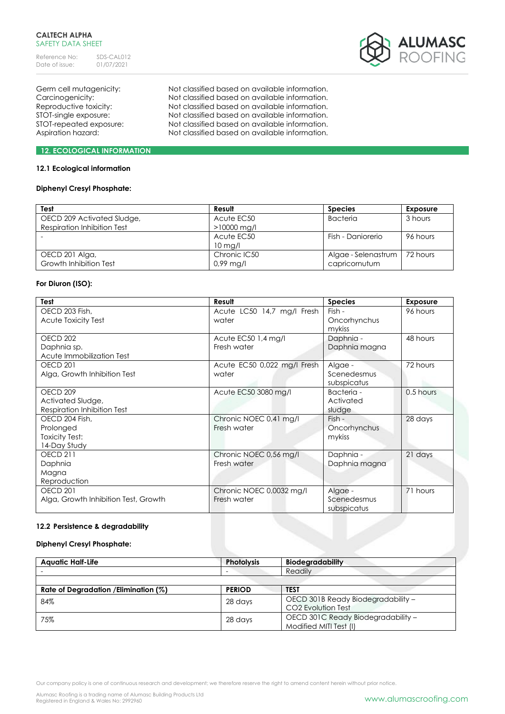## **CALTECH ALPHA** SAFETY DATA SHEET

Reference No: SDS-CAL012<br>Date of issue: 01/07/2021 Date of issue:



Germ cell mutagenicity: Not classified based on available information. Carcinogenicity: Not classified based on available information. Reproductive toxicity: Not classified based on available information. STOT-single exposure: Not classified based on available information. STOT-repeated exposure: Not classified based on available information. Aspiration hazard: Not classified based on available information.

# **12. ECOLOGICAL INFORMATION**

# **12.1 Ecological information**

# **Diphenyl Cresyl Phosphate:**

| Test                        | Result        | <b>Species</b>      | Exposure |
|-----------------------------|---------------|---------------------|----------|
| OECD 209 Activated Sludge,  | Acute EC50    | <b>Bacteria</b>     | 3 hours  |
| Respiration Inhibition Test | $>10000$ mg/l |                     |          |
|                             | Acute EC50    | Fish - Daniorerio   | 96 hours |
|                             | $10$ mg/l     |                     |          |
| OECD 201 Alga,              | Chronic IC50  | Algae - Selenastrum | 72 hours |
| Growth Inhibition Test      | $0.99$ mg/l   | capricornutum       |          |

## **For Diuron (ISO):**

| Test                                 | Result                      | <b>Species</b> | Exposure  |
|--------------------------------------|-----------------------------|----------------|-----------|
| OECD 203 Fish,                       | Acute LC50 14,7 mg/l Fresh  | Fish -         | 96 hours  |
| Acute Toxicity Test                  | water                       | Oncorhynchus   |           |
|                                      |                             | mykiss         |           |
| OECD 202                             | Acute EC50 1,4 mg/l         | Daphnia -      | 48 hours  |
| Daphnia sp.                          | Fresh water                 | Daphnia magna  |           |
| Acute Immobilization Test            |                             |                |           |
| <b>OECD 201</b>                      | Acute EC50 0,022 mg/l Fresh | Algae -        | 72 hours  |
| Alga, Growth Inhibition Test         | water                       | Scenedesmus    |           |
|                                      |                             | subspicatus    |           |
| OECD <sub>209</sub>                  | Acute EC50 3080 mg/l        | Bacteria -     | 0.5 hours |
| Activated Sludge,                    |                             | Activated      |           |
| Respiration Inhibition Test          |                             | sludge         |           |
| OECD 204 Fish.                       | Chronic NOEC 0,41 mg/l      | $Fish -$       | 28 days   |
| Prolonged                            | Fresh water                 | Oncorhynchus   |           |
| <b>Toxicity Test:</b>                |                             | mykiss         |           |
| 14-Day Study                         |                             |                |           |
| <b>OECD 211</b>                      | Chronic NOEC 0,56 mg/l      | Daphnia -      | 21 days   |
| Daphnia                              | Fresh water                 | Daphnia magna  |           |
| Magna                                |                             |                |           |
| Reproduction                         |                             |                |           |
| <b>OECD 201</b>                      | Chronic NOEC 0,0032 mg/l    | Algae -        | 71 hours  |
| Alga, Growth Inhibition Test, Growth | Fresh water                 | Scenedesmus    |           |
|                                      |                             | subspicatus    |           |

# **12.2 Persistence & degradability**

## **Diphenyl Cresyl Phosphate:**

| <b>Aquatic Half-Life</b>                 | <b>Photolysis</b> | <b>Biodegradability</b>            |
|------------------------------------------|-------------------|------------------------------------|
|                                          | -                 | Readily                            |
|                                          |                   |                                    |
| Rate of Degradation / Elimination $(\%)$ | <b>PERIOD</b>     | <b>TEST</b>                        |
| 84%                                      | 28 days           | OECD 301B Ready Biodegradability - |
|                                          |                   | CO <sub>2</sub> Evolution Test     |
| 75%<br>28 days                           |                   | OECD 301C Ready Biodegradability - |
|                                          |                   | Modified MITI Test (I)             |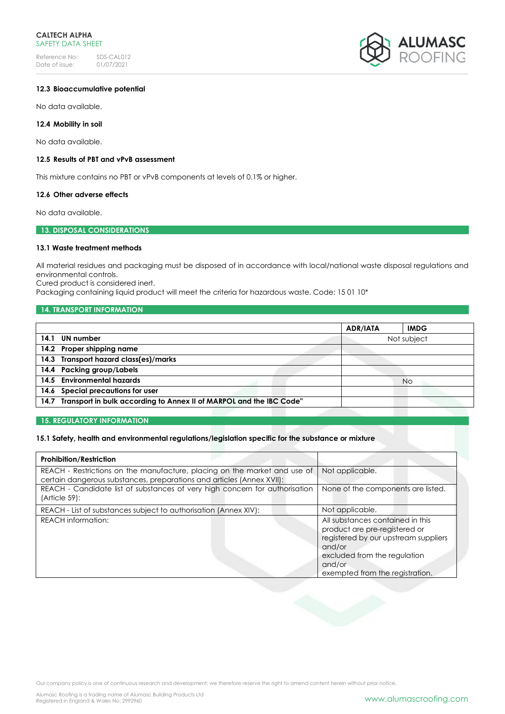

# **12.3 Bioaccumulative potential**

No data available.

## **12.4 Mobility in soil**

No data available.

## **12.5 Results of PBT and vPvB assessment**

This mixture contains no PBT or vPvB components at levels of 0.1% or higher.

# **12.6 Other adverse effects**

No data available.

## **13. DISPOSAL CONSIDERATIONS**

# **13.1 Waste treatment methods**

All material residues and packaging must be disposed of in accordance with local/national waste disposal regulations and environmental controls.

Cured product is considered inert.

Packaging containing liquid product will meet the criteria for hazardous waste. Code: 15 01 10\*

# **14. TRANSPORT INFORMATION**

|                                                                          | <b>ADR/IATA</b> | <b>IMDG</b> |
|--------------------------------------------------------------------------|-----------------|-------------|
| 14.1 UN number                                                           |                 | Not subject |
| 14.2 Proper shipping name                                                |                 |             |
| 14.3 Transport hazard class(es)/marks                                    |                 |             |
| 14.4 Packing group/Labels                                                |                 |             |
| 14.5 Environmental hazards                                               |                 | No          |
| 14.6 Special precautions for user                                        |                 |             |
| 14.7 Transport in bulk according to Annex II of MARPOL and the IBC Code" |                 |             |

## **15. REGULATORY INFORMATION**

# **15.1 Safety, health and environmental regulations/legislation specific for the substance or mixture**

| <b>Prohibition/Restriction</b>                                                                                                                     |                                                                                                                                                                                                  |
|----------------------------------------------------------------------------------------------------------------------------------------------------|--------------------------------------------------------------------------------------------------------------------------------------------------------------------------------------------------|
| REACH - Restrictions on the manufacture, placing on the market and use of<br>certain dangerous substances, preparations and articles (Annex XVII): | Not applicable.                                                                                                                                                                                  |
| REACH - Candidate list of substances of very high concern for authorisation<br>$(Article 59)$ :                                                    | None of the components are listed.                                                                                                                                                               |
| REACH - List of substances subject to authorisation (Annex XIV):                                                                                   | Not applicable.                                                                                                                                                                                  |
| <b>REACH</b> information:                                                                                                                          | All substances contained in this<br>product are pre-registered or<br>registered by our upstream suppliers<br>and/or<br>excluded from the regulation<br>and/or<br>exempted from the registration. |

Our company policy is one of continuous research and development; we therefore reserve the right to amend content herein without prior notice.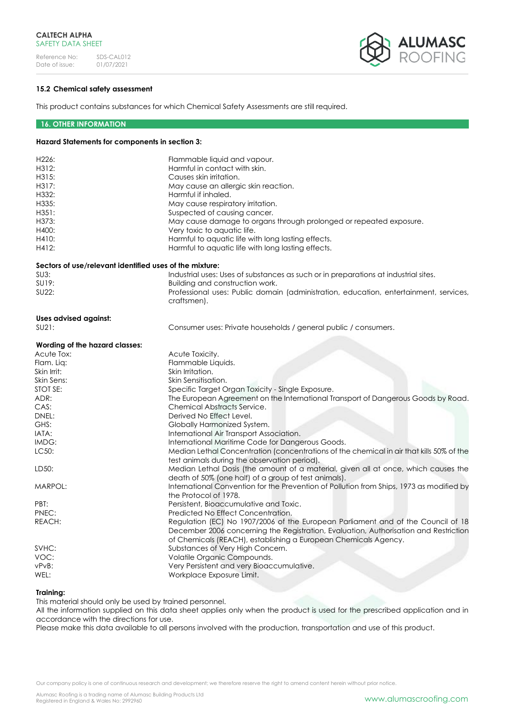

# **15.2 Chemical safety assessment**

This product contains substances for which Chemical Safety Assessments are still required.

## **16. OTHER INFORMATION**

### **Hazard Statements for components in section 3:**

| H226:<br>H312:<br>H315:<br>H317:<br>H332:<br>H335:<br>H351:<br>H373:<br>H400:<br>H410:<br>H412: | Flammable liquid and vapour.<br>Harmful in contact with skin.<br>Causes skin irritation.<br>May cause an allergic skin reaction.<br>Harmful if inhaled.<br>May cause respiratory irritation.<br>Suspected of causing cancer.<br>May cause damage to organs through prolonged or repeated exposure.<br>Very toxic to aquatic life.<br>Harmful to aquatic life with long lasting effects.<br>Harmful to aquatic life with long lasting effects. |
|-------------------------------------------------------------------------------------------------|-----------------------------------------------------------------------------------------------------------------------------------------------------------------------------------------------------------------------------------------------------------------------------------------------------------------------------------------------------------------------------------------------------------------------------------------------|
| Sectors of use/relevant identified uses of the mixture:                                         |                                                                                                                                                                                                                                                                                                                                                                                                                                               |
| SU3:                                                                                            | Industrial uses: Uses of substances as such or in preparations at industrial sites.                                                                                                                                                                                                                                                                                                                                                           |
| SU19:                                                                                           | Building and construction work.                                                                                                                                                                                                                                                                                                                                                                                                               |
| SU22:                                                                                           | Professional uses: Public domain (administration, education, entertainment, services,<br>craftsmen).                                                                                                                                                                                                                                                                                                                                          |
| <b>Uses advised against:</b>                                                                    |                                                                                                                                                                                                                                                                                                                                                                                                                                               |
| SU21:                                                                                           | Consumer uses: Private households / general public / consumers.                                                                                                                                                                                                                                                                                                                                                                               |
| Wording of the hazard classes:                                                                  |                                                                                                                                                                                                                                                                                                                                                                                                                                               |
| Acute Tox:                                                                                      | Acute Toxicity.                                                                                                                                                                                                                                                                                                                                                                                                                               |
| Flam. Lig:                                                                                      | Flammable Liquids.                                                                                                                                                                                                                                                                                                                                                                                                                            |
| Skin Irrit:                                                                                     | Skin Irritation.                                                                                                                                                                                                                                                                                                                                                                                                                              |
| Skin Sens:                                                                                      | Skin Sensitisation.                                                                                                                                                                                                                                                                                                                                                                                                                           |
| STOT SE:                                                                                        | Specific Target Organ Toxicity - Single Exposure.                                                                                                                                                                                                                                                                                                                                                                                             |
| ADR:                                                                                            | The European Agreement on the International Transport of Dangerous Goods by Road.                                                                                                                                                                                                                                                                                                                                                             |
| CAS:                                                                                            | <b>Chemical Abstracts Service.</b>                                                                                                                                                                                                                                                                                                                                                                                                            |
| DNEL:                                                                                           | Derived No Effect Level.                                                                                                                                                                                                                                                                                                                                                                                                                      |
| GHS:                                                                                            | Globally Harmonized System.                                                                                                                                                                                                                                                                                                                                                                                                                   |
| IATA:                                                                                           | International Air Transport Association.                                                                                                                                                                                                                                                                                                                                                                                                      |
| IMDG:                                                                                           | International Maritime Code for Dangerous Goods.                                                                                                                                                                                                                                                                                                                                                                                              |
| LC50:                                                                                           | Median Lethal Concentration (concentrations of the chemical in air that kills 50% of the<br>test animals during the observation period).                                                                                                                                                                                                                                                                                                      |
| LD50:                                                                                           | Median Lethal Dosis (the amount of a material, given all at once, which causes the<br>death of 50% (one half) of a group of test animals).                                                                                                                                                                                                                                                                                                    |
| MARPOL:                                                                                         | International Convention for the Prevention of Pollution from Ships, 1973 as modified by<br>the Protocol of 1978.                                                                                                                                                                                                                                                                                                                             |
| PBT:                                                                                            | Persistent, Bioaccumulative and Toxic.                                                                                                                                                                                                                                                                                                                                                                                                        |
| PNEC:                                                                                           | Predicted No Effect Concentration.                                                                                                                                                                                                                                                                                                                                                                                                            |
| REACH:                                                                                          | Regulation (EC) No 1907/2006 of the European Parliament and of the Council of 18<br>December 2006 concerning the Registration, Evaluation, Authorisation and Restriction<br>of Chemicals (REACH), establishing a European Chemicals Agency.                                                                                                                                                                                                   |
| SVHC:                                                                                           | Substances of Very High Concern.                                                                                                                                                                                                                                                                                                                                                                                                              |
| VOC:                                                                                            | Volatile Organic Compounds.                                                                                                                                                                                                                                                                                                                                                                                                                   |
| vPvB:                                                                                           | Very Persistent and very Bioaccumulative.                                                                                                                                                                                                                                                                                                                                                                                                     |
| WEL:                                                                                            | Workplace Exposure Limit.                                                                                                                                                                                                                                                                                                                                                                                                                     |
|                                                                                                 |                                                                                                                                                                                                                                                                                                                                                                                                                                               |

## **Training:**

This material should only be used by trained personnel.

All the information supplied on this data sheet applies only when the product is used for the prescribed application and in accordance with the directions for use.

Please make this data available to all persons involved with the production, transportation and use of this product.

Our company policy is one of continuous research and development; we therefore reserve the right to amend content herein without prior notice.